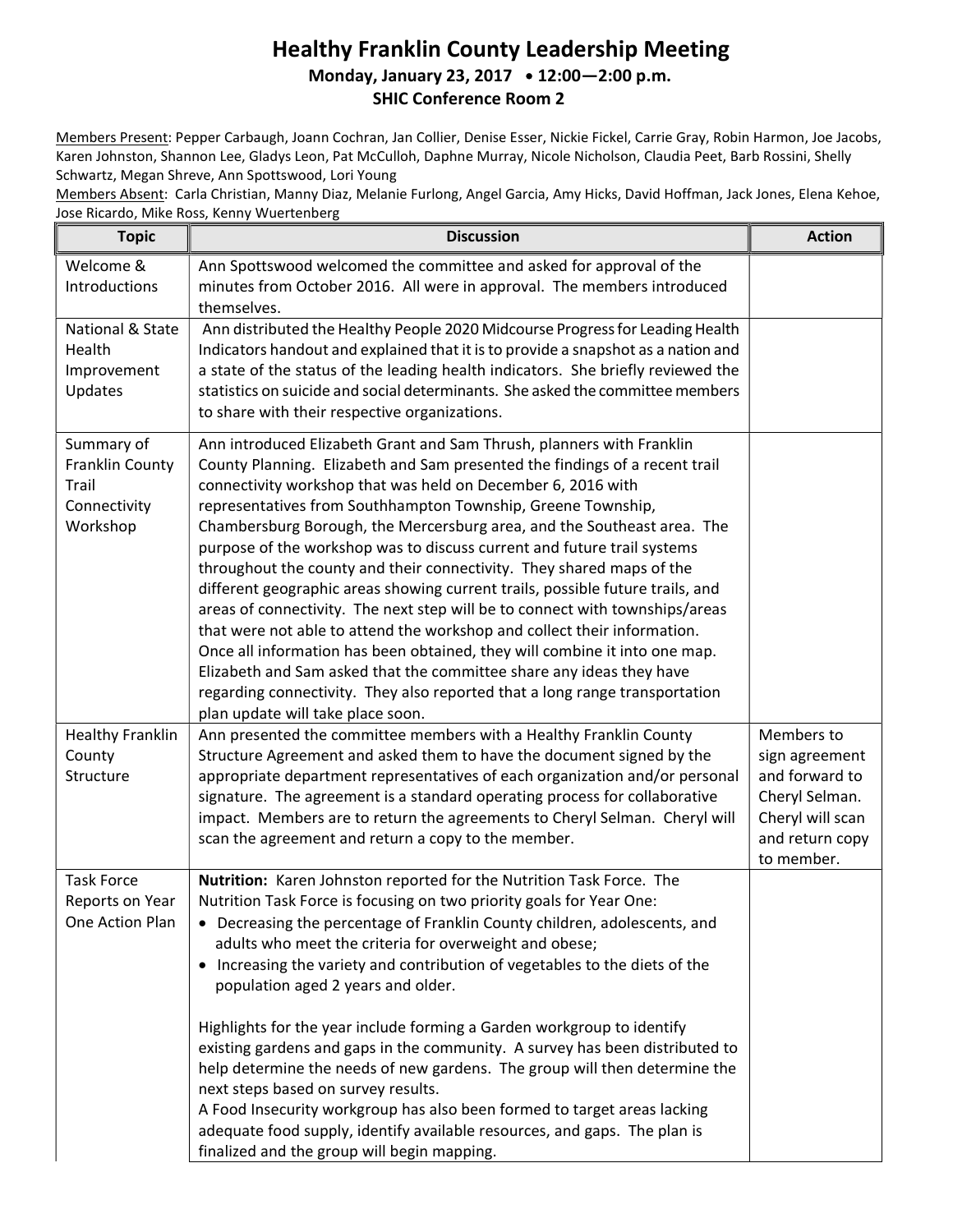## Healthy Franklin County Leadership Meeting Monday, January 23, 2017 • 12:00-2:00 p.m. SHIC Conference Room 2

Members Present: Pepper Carbaugh, Joann Cochran, Jan Collier, Denise Esser, Nickie Fickel, Carrie Gray, Robin Harmon, Joe Jacobs, Karen Johnston, Shannon Lee, Gladys Leon, Pat McCulloh, Daphne Murray, Nicole Nicholson, Claudia Peet, Barb Rossini, Shelly Schwartz, Megan Shreve, Ann Spottswood, Lori Young

Members Absent: Carla Christian, Manny Diaz, Melanie Furlong, Angel Garcia, Amy Hicks, David Hoffman, Jack Jones, Elena Kehoe, Jose Ricardo, Mike Ross, Kenny Wuertenberg

| <b>Topic</b>                                                       | <b>Discussion</b>                                                                                                                                                                                                                                                                                                                                                                                                                                                                                                                                                                                                                                                                                                                                                                                                                                                                                                                                                                                                                           | <b>Action</b>                                                                                                         |
|--------------------------------------------------------------------|---------------------------------------------------------------------------------------------------------------------------------------------------------------------------------------------------------------------------------------------------------------------------------------------------------------------------------------------------------------------------------------------------------------------------------------------------------------------------------------------------------------------------------------------------------------------------------------------------------------------------------------------------------------------------------------------------------------------------------------------------------------------------------------------------------------------------------------------------------------------------------------------------------------------------------------------------------------------------------------------------------------------------------------------|-----------------------------------------------------------------------------------------------------------------------|
| Welcome &<br>Introductions                                         | Ann Spottswood welcomed the committee and asked for approval of the<br>minutes from October 2016. All were in approval. The members introduced<br>themselves.                                                                                                                                                                                                                                                                                                                                                                                                                                                                                                                                                                                                                                                                                                                                                                                                                                                                               |                                                                                                                       |
| National & State<br>Health<br>Improvement<br>Updates               | Ann distributed the Healthy People 2020 Midcourse Progress for Leading Health<br>Indicators handout and explained that it is to provide a snapshot as a nation and<br>a state of the status of the leading health indicators. She briefly reviewed the<br>statistics on suicide and social determinants. She asked the committee members<br>to share with their respective organizations.                                                                                                                                                                                                                                                                                                                                                                                                                                                                                                                                                                                                                                                   |                                                                                                                       |
| Summary of<br>Franklin County<br>Trail<br>Connectivity<br>Workshop | Ann introduced Elizabeth Grant and Sam Thrush, planners with Franklin<br>County Planning. Elizabeth and Sam presented the findings of a recent trail<br>connectivity workshop that was held on December 6, 2016 with<br>representatives from Southhampton Township, Greene Township,<br>Chambersburg Borough, the Mercersburg area, and the Southeast area. The<br>purpose of the workshop was to discuss current and future trail systems<br>throughout the county and their connectivity. They shared maps of the<br>different geographic areas showing current trails, possible future trails, and<br>areas of connectivity. The next step will be to connect with townships/areas<br>that were not able to attend the workshop and collect their information.<br>Once all information has been obtained, they will combine it into one map.<br>Elizabeth and Sam asked that the committee share any ideas they have<br>regarding connectivity. They also reported that a long range transportation<br>plan update will take place soon. |                                                                                                                       |
| <b>Healthy Franklin</b><br>County<br>Structure                     | Ann presented the committee members with a Healthy Franklin County<br>Structure Agreement and asked them to have the document signed by the<br>appropriate department representatives of each organization and/or personal<br>signature. The agreement is a standard operating process for collaborative<br>impact. Members are to return the agreements to Cheryl Selman. Cheryl will<br>scan the agreement and return a copy to the member.                                                                                                                                                                                                                                                                                                                                                                                                                                                                                                                                                                                               | Members to<br>sign agreement<br>and forward to<br>Cheryl Selman.<br>Cheryl will scan<br>and return copy<br>to member. |
| <b>Task Force</b><br>Reports on Year<br>One Action Plan            | Nutrition: Karen Johnston reported for the Nutrition Task Force. The<br>Nutrition Task Force is focusing on two priority goals for Year One:<br>• Decreasing the percentage of Franklin County children, adolescents, and<br>adults who meet the criteria for overweight and obese;<br>• Increasing the variety and contribution of vegetables to the diets of the<br>population aged 2 years and older.<br>Highlights for the year include forming a Garden workgroup to identify<br>existing gardens and gaps in the community. A survey has been distributed to<br>help determine the needs of new gardens. The group will then determine the<br>next steps based on survey results.<br>A Food Insecurity workgroup has also been formed to target areas lacking<br>adequate food supply, identify available resources, and gaps. The plan is<br>finalized and the group will begin mapping.                                                                                                                                             |                                                                                                                       |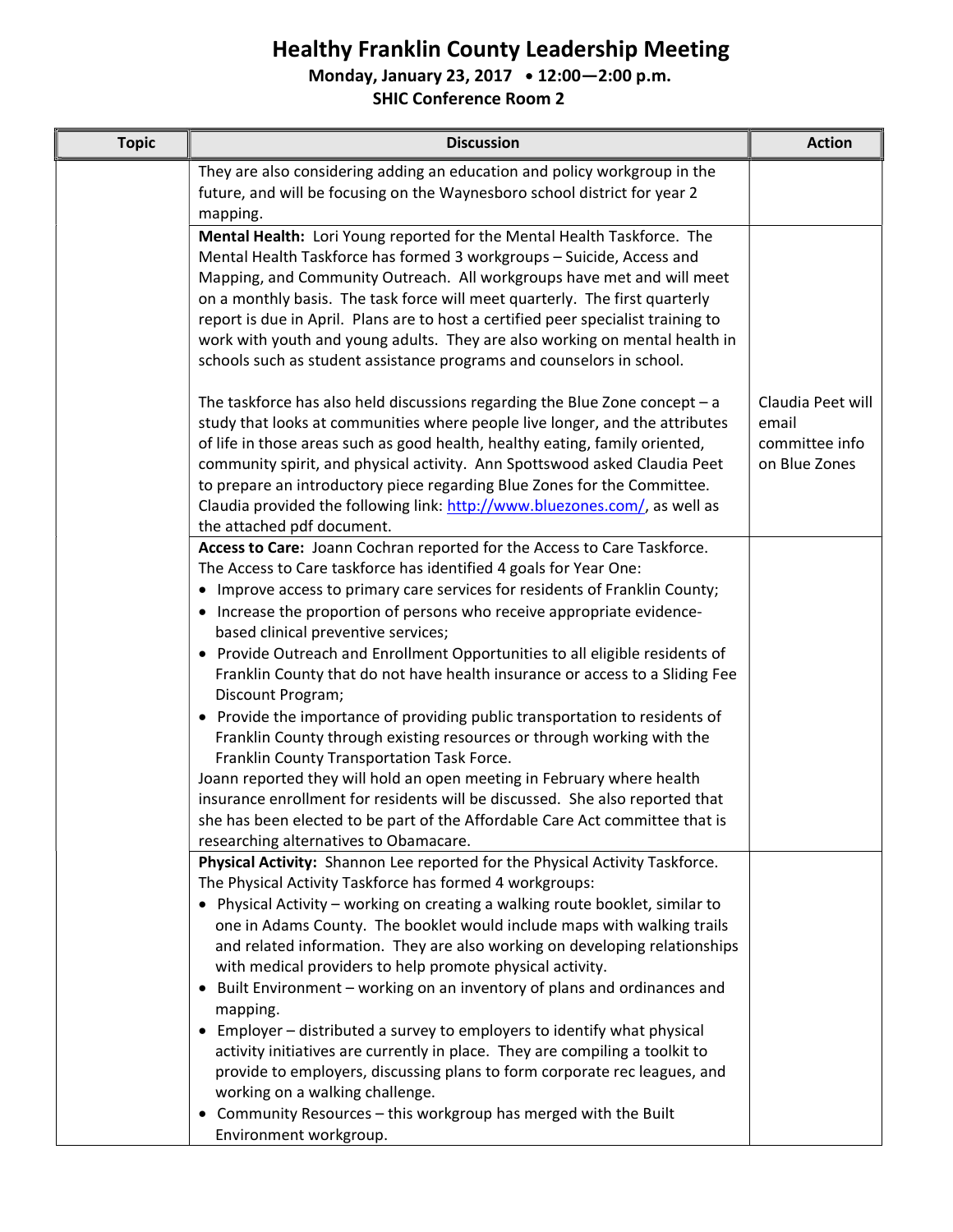## Healthy Franklin County Leadership Meeting

Monday, January 23, 2017 • 12:00-2:00 p.m.

SHIC Conference Room 2

| <b>Topic</b> | <b>Discussion</b>                                                                                                                                                                                                                                                                                                                                                                                                                                                                                                                                                                                                                                                                                                                                                                                                                                                                                                                                                                                                             | <b>Action</b>                                                 |
|--------------|-------------------------------------------------------------------------------------------------------------------------------------------------------------------------------------------------------------------------------------------------------------------------------------------------------------------------------------------------------------------------------------------------------------------------------------------------------------------------------------------------------------------------------------------------------------------------------------------------------------------------------------------------------------------------------------------------------------------------------------------------------------------------------------------------------------------------------------------------------------------------------------------------------------------------------------------------------------------------------------------------------------------------------|---------------------------------------------------------------|
|              | They are also considering adding an education and policy workgroup in the<br>future, and will be focusing on the Waynesboro school district for year 2<br>mapping.                                                                                                                                                                                                                                                                                                                                                                                                                                                                                                                                                                                                                                                                                                                                                                                                                                                            |                                                               |
|              | Mental Health: Lori Young reported for the Mental Health Taskforce. The<br>Mental Health Taskforce has formed 3 workgroups - Suicide, Access and<br>Mapping, and Community Outreach. All workgroups have met and will meet<br>on a monthly basis. The task force will meet quarterly. The first quarterly<br>report is due in April. Plans are to host a certified peer specialist training to<br>work with youth and young adults. They are also working on mental health in<br>schools such as student assistance programs and counselors in school.                                                                                                                                                                                                                                                                                                                                                                                                                                                                        |                                                               |
|              | The taskforce has also held discussions regarding the Blue Zone concept $- a$<br>study that looks at communities where people live longer, and the attributes<br>of life in those areas such as good health, healthy eating, family oriented,<br>community spirit, and physical activity. Ann Spottswood asked Claudia Peet<br>to prepare an introductory piece regarding Blue Zones for the Committee.<br>Claudia provided the following link: http://www.bluezones.com/, as well as<br>the attached pdf document.                                                                                                                                                                                                                                                                                                                                                                                                                                                                                                           | Claudia Peet will<br>email<br>committee info<br>on Blue Zones |
|              | Access to Care: Joann Cochran reported for the Access to Care Taskforce.<br>The Access to Care taskforce has identified 4 goals for Year One:<br>• Improve access to primary care services for residents of Franklin County;<br>• Increase the proportion of persons who receive appropriate evidence-<br>based clinical preventive services;<br>• Provide Outreach and Enrollment Opportunities to all eligible residents of<br>Franklin County that do not have health insurance or access to a Sliding Fee<br>Discount Program;<br>• Provide the importance of providing public transportation to residents of<br>Franklin County through existing resources or through working with the<br>Franklin County Transportation Task Force.<br>Joann reported they will hold an open meeting in February where health<br>insurance enrollment for residents will be discussed. She also reported that<br>she has been elected to be part of the Affordable Care Act committee that is<br>researching alternatives to Obamacare. |                                                               |
|              | Physical Activity: Shannon Lee reported for the Physical Activity Taskforce.<br>The Physical Activity Taskforce has formed 4 workgroups:<br>• Physical Activity - working on creating a walking route booklet, similar to<br>one in Adams County. The booklet would include maps with walking trails<br>and related information. They are also working on developing relationships<br>with medical providers to help promote physical activity.<br>Built Environment - working on an inventory of plans and ordinances and<br>$\bullet$<br>mapping.<br>Employer – distributed a survey to employers to identify what physical<br>$\bullet$<br>activity initiatives are currently in place. They are compiling a toolkit to<br>provide to employers, discussing plans to form corporate rec leagues, and<br>working on a walking challenge.<br>Community Resources - this workgroup has merged with the Built<br>٠<br>Environment workgroup.                                                                                   |                                                               |